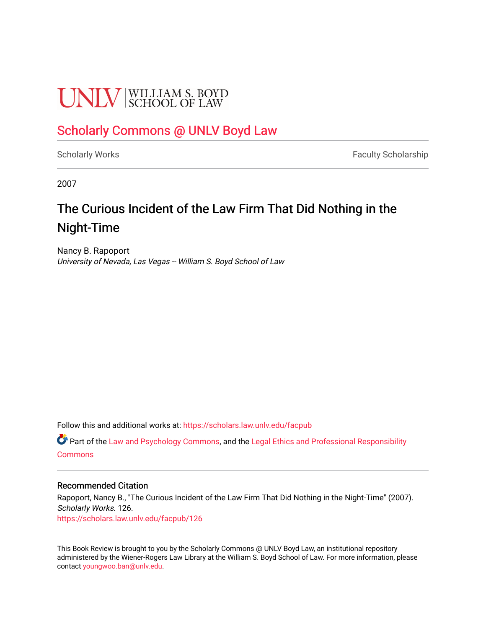# **UNIV** SCHOOL OF LAW

### [Scholarly Commons @ UNLV Boyd Law](https://scholars.law.unlv.edu/)

[Scholarly Works](https://scholars.law.unlv.edu/facpub) **Faculty Scholarship** Faculty Scholarship

2007

### The Curious Incident of the Law Firm That Did Nothing in the Night-Time

Nancy B. Rapoport University of Nevada, Las Vegas -- William S. Boyd School of Law

Follow this and additional works at: [https://scholars.law.unlv.edu/facpub](https://scholars.law.unlv.edu/facpub?utm_source=scholars.law.unlv.edu%2Ffacpub%2F126&utm_medium=PDF&utm_campaign=PDFCoverPages)

Part of the [Law and Psychology Commons,](http://network.bepress.com/hgg/discipline/870?utm_source=scholars.law.unlv.edu%2Ffacpub%2F126&utm_medium=PDF&utm_campaign=PDFCoverPages) and the [Legal Ethics and Professional Responsibility](http://network.bepress.com/hgg/discipline/895?utm_source=scholars.law.unlv.edu%2Ffacpub%2F126&utm_medium=PDF&utm_campaign=PDFCoverPages) [Commons](http://network.bepress.com/hgg/discipline/895?utm_source=scholars.law.unlv.edu%2Ffacpub%2F126&utm_medium=PDF&utm_campaign=PDFCoverPages)

#### Recommended Citation

Rapoport, Nancy B., "The Curious Incident of the Law Firm That Did Nothing in the Night-Time" (2007). Scholarly Works. 126. [https://scholars.law.unlv.edu/facpub/126](https://scholars.law.unlv.edu/facpub/126?utm_source=scholars.law.unlv.edu%2Ffacpub%2F126&utm_medium=PDF&utm_campaign=PDFCoverPages)

This Book Review is brought to you by the Scholarly Commons @ UNLV Boyd Law, an institutional repository administered by the Wiener-Rogers Law Library at the William S. Boyd School of Law. For more information, please contact [youngwoo.ban@unlv.edu](mailto:youngwoo.ban@unlv.edu).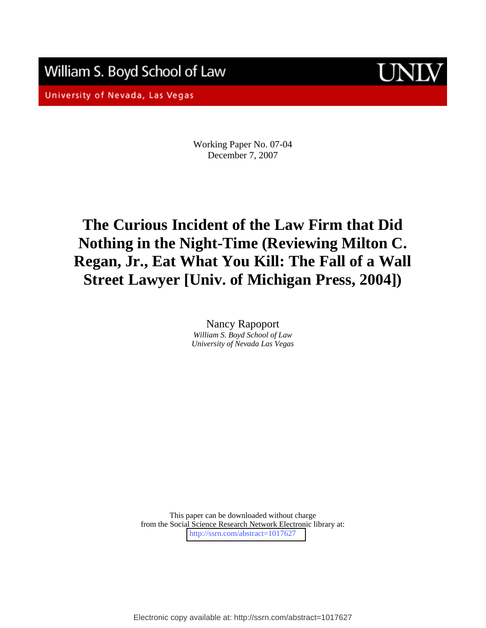William S. Boyd School of Law

University of Nevada, Las Vegas



Working Paper No. 07-04 December 7, 2007

## **The Curious Incident of the Law Firm that Did Nothing in the Night-Time (Reviewing Milton C. Regan, Jr., Eat What You Kill: The Fall of a Wall Street Lawyer [Univ. of Michigan Press, 2004])**

Nancy Rapoport *William S. Boyd School of Law University of Nevada Las Vegas* 

This paper can be downloaded without charge from the Social Science Research Network Electronic library at: [http://ssrn.com/abstract=1](http://ssrn.com/abstract=1050761)017627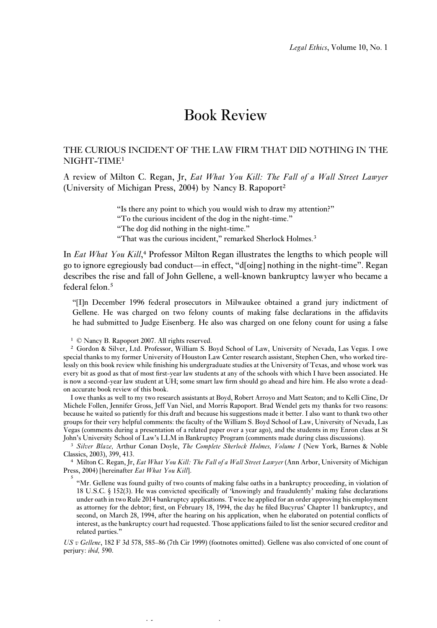### Book Review

#### THE CURIOUS INCIDENT OF THE LAW FIRM THAT DID NOTHING IN THE NIGHT-TIME<sup>1</sup>

A review of Milton C. Regan, Jr, *Eat What You Kill: The Fall of a Wall Street Lawyer* (University of Michigan Press, 2004) by Nancy B. Rapoport<sup>2</sup>

> "Is there any point to which you would wish to draw my attention?" "To the curious incident of the dog in the night-time." "The dog did nothing in the night-time." "That was the curious incident," remarked Sherlock Holmes.<sup>3</sup>

In *Eat What You Kill*, <sup>4</sup> Professor Milton Regan illustrates the lengths to which people will go to ignore egregiously bad conduct—in effect, "d[oing] nothing in the night-time". Regan describes the rise and fall of John Gellene, a well-known bankruptcy lawyer who became a federal felon.<sup>5</sup>

"[I]n December 1996 federal prosecutors in Milwaukee obtained a grand jury indictment of Gellene. He was charged on two felony counts of making false declarations in the affidavits he had submitted to Judge Eisenberg. He also was charged on one felony count for using a false

<sup>1</sup> © Nancy B. Rapoport 2007. All rights reserved.

5

<sup>2</sup> Gordon & Silver, Ltd. Professor, William S. Boyd School of Law, University of Nevada, Las Vegas. I owe special thanks to my former University of Houston Law Center research assistant, Stephen Chen, who worked tirelessly on this book review while finishing his undergraduate studies at the University of Texas, and whose work was every bit as good as that of most first-year law students at any of the schools with which I have been associated. He is now a second-year law student at UH; some smart law firm should go ahead and hire him. He also wrote a deadon accurate book review of this book.

I owe thanks as well to my two research assistants at Boyd, Robert Arroyo and Matt Seaton; and to Kelli Cline, Dr Michele Follen, Jennifer Gross, Jeff Van Niel, and Morris Rapoport. Brad Wendel gets my thanks for two reasons: because he waited so patiently for this draft and because his suggestions made it better. I also want to thank two other groups for their very helpful comments: the faculty of the William S. Boyd School of Law, University of Nevada, Las Vegas (comments during a presentation of a related paper over a year ago), and the students in my Enron class at St John's University School of Law's LLM in Bankruptcy Program (comments made during class discussions).

<sup>3</sup> *Silver Blaze,* Arthur Conan Doyle, *The Complete Sherlock Holmes, Volume I* (New York, Barnes & Noble Classics, 2003), 399, 413.

<sup>4</sup> Milton C. Regan, Jr, *Eat What You Kill: The Fall of a Wall Street Lawyer* (Ann Arbor, University of Michigan Press, 2004) [hereinafter *Eat What You Kill*].

"Mr. Gellene was found guilty of two counts of making false oaths in a bankruptcy proceeding, in violation of 18 U.S.C. § 152(3). He was convicted specifically of 'knowingly and fraudulently' making false declarations under oath in two Rule 2014 bankruptcy applications. Twice he applied for an order approving his employment as attorney for the debtor; first, on February 18, 1994, the day he filed Bucyrus' Chapter 11 bankruptcy, and second, on March 28, 1994, after the hearing on his application, when he elaborated on potential conflicts of interest, as the bankruptcy court had requested. Those applications failed to list the senior secured creditor and related parties."

*US v Gellene*, 182 F 3d 578, 585–86 (7th Cir 1999) (footnotes omitted). Gellene was also convicted of one count of perjury: *ibid,* 590.

Electronic copy available at: http://ssrn.com/abstract=1017627 http://ssrn.com/abstract=1050761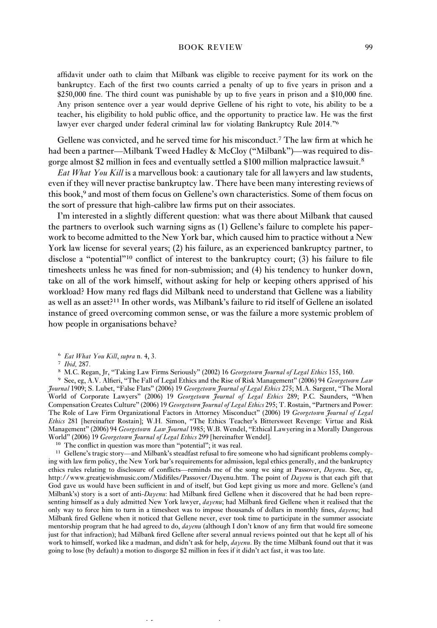affidavit under oath to claim that Milbank was eligible to receive payment for its work on the bankruptcy. Each of the first two counts carried a penalty of up to five years in prison and a \$250,000 fine. The third count was punishable by up to five years in prison and a \$10,000 fine. Any prison sentence over a year would deprive Gellene of his right to vote, his ability to be a teacher, his eligibility to hold public office, and the opportunity to practice law. He was the first lawyer ever charged under federal criminal law for violating Bankruptcy Rule 2014."<sup>6</sup>

Gellene was convicted, and he served time for his misconduct.<sup>7</sup> The law firm at which he had been a partner—Milbank Tweed Hadley & McCloy ("Milbank")—was required to disgorge almost \$2 million in fees and eventually settled a \$100 million malpractice lawsuit.<sup>8</sup>

*Eat What You Kill* is a marvellous book: a cautionary tale for all lawyers and law students, even if they will never practise bankruptcy law. There have been many interesting reviews of this book,<sup>9</sup> and most of them focus on Gellene's own characteristics. Some of them focus on the sort of pressure that high-calibre law firms put on their associates.

I'm interested in a slightly different question: what was there about Milbank that caused the partners to overlook such warning signs as (1) Gellene's failure to complete his paperwork to become admitted to the New York bar, which caused him to practice without a New York law license for several years; (2) his failure, as an experienced bankruptcy partner, to disclose a "potential"<sup>10</sup> conflict of interest to the bankruptcy court; (3) his failure to file timesheets unless he was fined for non-submission; and (4) his tendency to hunker down, take on all of the work himself, without asking for help or keeping others apprised of his workload? How many red flags did Milbank need to understand that Gellene was a liability as well as an asset?<sup>11</sup> In other words, was Milbank's failure to rid itself of Gellene an isolated instance of greed overcoming common sense, or was the failure a more systemic problem of how people in organisations behave?

<sup>6</sup> *Eat What You Kill*, *supra* n. 4, 3.

<sup>7</sup> *Ibid,* 287.

<sup>8</sup> M.C. Regan, Jr, "Taking Law Firms Seriously" (2002) 16 *Georgetown Journal of Legal Ethics* 155, 160.

<sup>9</sup> See, eg, A.V. Alfieri, "The Fall of Legal Ethics and the Rise of Risk Management" (2006) 94 *Georgetown Law Journal* 1909; S. Lubet, "False Flats" (2006) 19 *Georgetown Journal of Legal Ethics* 275; M.A. Sargent, "The Moral World of Corporate Lawyers" (2006) 19 *Georgetown Journal of Legal Ethics* 289; P.C. Saunders, "When Compensation Creates Culture" (2006) 19 *Georgetown Journal of Legal Ethics* 295; T. Rostain, "Partners and Power: The Role of Law Firm Organizational Factors in Attorney Misconduct" (2006) 19 *Georgetown Journal of Legal Ethics* 281 [hereinafter Rostain]; W.H. Simon, "The Ethics Teacher's Bittersweet Revenge: Virtue and Risk Management" (2006) 94 *Georgetown Law Journal* 1985; W.B. Wendel, "Ethical Lawyering in a Morally Dangerous World" (2006) 19 *Georgetown Journal of Legal Ethics* 299 [hereinafter Wendel].

<sup>10</sup> The conflict in question was more than "potential"; it was real.

<sup>11</sup> Gellene's tragic story—and Milbank's steadfast refusal to fire someone who had significant problems complying with law firm policy, the New York bar's requirements for admission, legal ethics generally, and the bankruptcy ethics rules relating to disclosure of conflicts—reminds me of the song we sing at Passover, *Dayenu*. See, eg, http://www.greatjewishmusic.com/Midifiles/Passover/Dayenu.htm. The point of *Dayenu* is that each gift that God gave us would have been sufficient in and of itself, but God kept giving us more and more. Gellene's (and Milbank's) story is a sort of anti-*Dayenu*: had Milbank fired Gellene when it discovered that he had been representing himself as a duly admitted New York lawyer, *dayenu*; had Milbank fired Gellene when it realised that the only way to force him to turn in a timesheet was to impose thousands of dollars in monthly fines, *dayenu*; had Milbank fired Gellene when it noticed that Gellene never, ever took time to participate in the summer associate mentorship program that he had agreed to do, *dayenu* (although I don't know of any firm that would fire someone just for that infraction); had Milbank fired Gellene after several annual reviews pointed out that he kept all of his work to himself, worked like a madman, and didn't ask for help, *dayenu*. By the time Milbank found out that it was going to lose (by default) a motion to disgorge \$2 million in fees if it didn't act fast, it was too late.

Electronic copy available at: http://ssrn.com/abstract=1017627 http://ssrn.com/abstract=1050761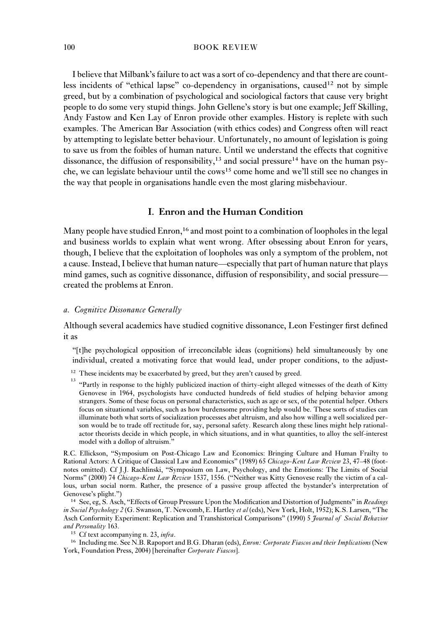I believe that Milbank's failure to act was a sort of co-dependency and that there are countless incidents of "ethical lapse" co-dependency in organisations, caused<sup>12</sup> not by simple greed, but by a combination of psychological and sociological factors that cause very bright people to do some very stupid things. John Gellene's story is but one example; Jeff Skilling, Andy Fastow and Ken Lay of Enron provide other examples. History is replete with such examples. The American Bar Association (with ethics codes) and Congress often will react by attempting to legislate better behaviour. Unfortunately, no amount of legislation is going to save us from the foibles of human nature. Until we understand the effects that cognitive dissonance, the diffusion of responsibility,<sup>13</sup> and social pressure<sup>14</sup> have on the human psyche, we can legislate behaviour until the cows<sup>15</sup> come home and we'll still see no changes in the way that people in organisations handle even the most glaring misbehaviour.

#### **I. Enron and the Human Condition**

Many people have studied Enron,<sup>16</sup> and most point to a combination of loopholes in the legal and business worlds to explain what went wrong. After obsessing about Enron for years, though, I believe that the exploitation of loopholes was only a symptom of the problem, not a cause. Instead, I believe that human nature—especially that part of human nature that plays mind games, such as cognitive dissonance, diffusion of responsibility, and social pressure created the problems at Enron.

#### *a. Cognitive Dissonance Generally*

Although several academics have studied cognitive dissonance, Leon Festinger first defined it as

"[t]he psychological opposition of irreconcilable ideas (cognitions) held simultaneously by one individual, created a motivating force that would lead, under proper conditions, to the adjust-

<sup>12</sup> These incidents may be exacerbated by greed, but they aren't caused by greed.

<sup>13</sup> "Partly in response to the highly publicized inaction of thirty-eight alleged witnesses of the death of Kitty Genovese in 1964, psychologists have conducted hundreds of field studies of helping behavior among strangers. Some of these focus on personal characteristics, such as age or sex, of the potential helper. Others focus on situational variables, such as how burdensome providing help would be. These sorts of studies can illuminate both what sorts of socialization processes abet altruism, and also how willing a well socialized person would be to trade off rectitude for, say, personal safety. Research along these lines might help rationalactor theorists decide in which people, in which situations, and in what quantities, to alloy the self-interest model with a dollop of altruism."

R.C. Ellickson, "Symposium on Post-Chicago Law and Economics: Bringing Culture and Human Frailty to Rational Actors: A Critique of Classical Law and Economics" (1989) 65 *Chicago-Kent Law Review* 23, 47–48 (footnotes omitted). Cf J.J. Rachlinski, "Symposium on Law, Psychology, and the Emotions: The Limits of Social Norms" (2000) 74 *Chicago-Kent Law Review* 1537, 1556. ("Neither was Kitty Genovese really the victim of a callous, urban social norm. Rather, the presence of a passive group affected the bystander's interpretation of Genovese's plight.")

<sup>14</sup> See, eg, S. Asch, "Effects of Group Pressure Upon the Modification and Distortion of Judgments" in *Readings in Social Psychology 2* (G. Swanson, T. Newcomb, E. Hartley *et al* (eds), New York, Holt, 1952); K.S. Larsen, "The Asch Conformity Experiment: Replication and Transhistorical Comparisons" (1990) 5 *Journal of Social Behavior and Personality* 163. 15 Cf text accompanying n. 23, *infra*.

<sup>16</sup> Including me. See N.B. Rapoport and B.G. Dharan (eds), *Enron: Corporate Fiascos and their Implications* (New York, Foundation Press, 2004) [hereinafter *Corporate Fiascos*].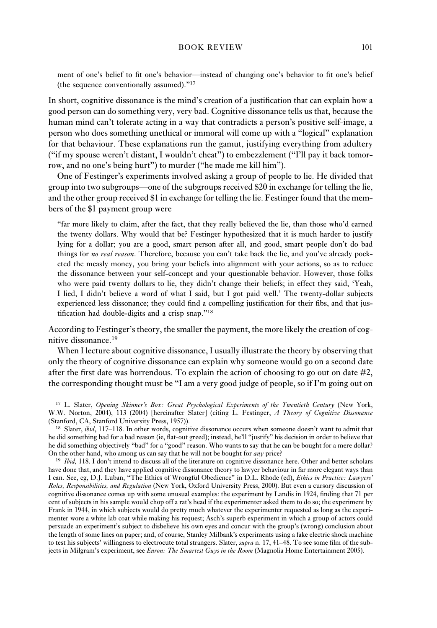ment of one's belief to fit one's behavior—instead of changing one's behavior to fit one's belief (the sequence conventionally assumed)."<sup>17</sup>

In short, cognitive dissonance is the mind's creation of a justification that can explain how a good person can do something very, very bad. Cognitive dissonance tells us that, because the human mind can't tolerate acting in a way that contradicts a person's positive self-image, a person who does something unethical or immoral will come up with a "logical" explanation for that behaviour. These explanations run the gamut, justifying everything from adultery ("if my spouse weren't distant, I wouldn't cheat") to embezzlement ("I'll pay it back tomorrow, and no one's being hurt") to murder ("he made me kill him").

One of Festinger's experiments involved asking a group of people to lie. He divided that group into two subgroups—one of the subgroups received \$20 in exchange for telling the lie, and the other group received \$1 in exchange for telling the lie. Festinger found that the members of the \$1 payment group were

"far more likely to claim, after the fact, that they really believed the lie, than those who'd earned the twenty dollars. Why would that be? Festinger hypothesized that it is much harder to justify lying for a dollar; you are a good, smart person after all, and good, smart people don't do bad things for *no real reason*. Therefore, because you can't take back the lie, and you've already pocketed the measly money, you bring your beliefs into alignment with your actions, so as to reduce the dissonance between your self-concept and your questionable behavior. However, those folks who were paid twenty dollars to lie, they didn't change their beliefs; in effect they said, 'Yeah, I lied, I didn't believe a word of what I said, but I got paid well.' The twenty-dollar subjects experienced less dissonance; they could find a compelling justification for their fibs, and that justification had double-digits and a crisp snap."<sup>18</sup>

According to Festinger's theory, the smaller the payment, the more likely the creation of cognitive dissonance.<sup>19</sup>

When I lecture about cognitive dissonance, I usually illustrate the theory by observing that only the theory of cognitive dissonance can explain why someone would go on a second date after the first date was horrendous. To explain the action of choosing to go out on date #2, the corresponding thought must be "I am a very good judge of people, so if I'm going out on

<sup>17</sup> L. Slater, *Opening Skinner's Box: Great Psychological Experiments of the Twentieth Century* (New York, W.W. Norton, 2004), 113 (2004) [hereinafter Slater] (citing L. Festinger, *A Theory of Cognitive Dissonance* (Stanford, CA, Stanford University Press, 1957)).

<sup>18</sup> Slater, *ibid*, 117–118. In other words, cognitive dissonance occurs when someone doesn't want to admit that he did something bad for a bad reason (ie, flat-out greed); instead, he'll "justify" his decision in order to believe that he did something objectively "bad" for a "good" reason. Who wants to say that he can be bought for a mere dollar? On the other hand, who among us can say that he will not be bought for *any* price?

<sup>19</sup> *Ibid*, 118. I don't intend to discuss all of the literature on cognitive dissonance here. Other and better scholars have done that, and they have applied cognitive dissonance theory to lawyer behaviour in far more elegant ways than I can. See, eg, D.J. Luban, "The Ethics of Wrongful Obedience" in D.L. Rhode (ed), *Ethics in Practice: Lawyers' Roles, Responsibilities, and Regulation* (New York, Oxford University Press, 2000). But even a cursory discussion of cognitive dissonance comes up with some unusual examples: the experiment by Landis in 1924, finding that 71 per cent of subjects in his sample would chop off a rat's head if the experimenter asked them to do so; the experiment by Frank in 1944, in which subjects would do pretty much whatever the experimenter requested as long as the experimenter wore a white lab coat while making his request; Asch's superb experiment in which a group of actors could persuade an experiment's subject to disbelieve his own eyes and concur with the group's (wrong) conclusion about the length of some lines on paper; and, of course, Stanley Milbank's experiments using a fake electric shock machine to test his subjects' willingness to electrocute total strangers. Slater, *supra* n. 17, 41–48. To see some film of the subjects in Milgram's experiment, see *Enron: The Smartest Guys in the Room* (Magnolia Home Entertainment 2005).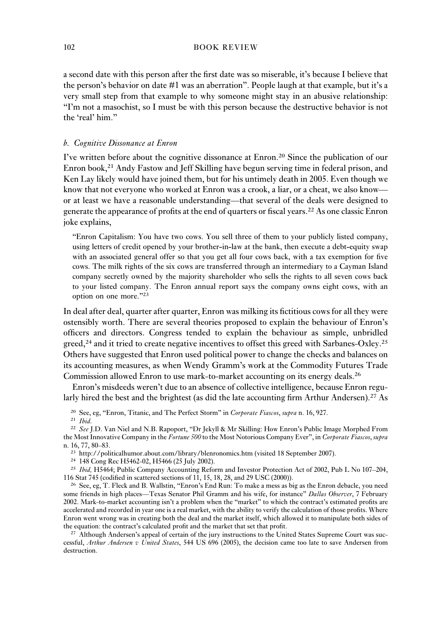a second date with this person after the first date was so miserable, it's because I believe that the person's behavior on date #1 was an aberration". People laugh at that example, but it's a very small step from that example to why someone might stay in an abusive relationship: "I'm not a masochist, so I must be with this person because the destructive behavior is not the 'real' him."

#### *b. Cognitive Dissonance at Enron*

I've written before about the cognitive dissonance at Enron.<sup>20</sup> Since the publication of our Enron book,<sup>21</sup> Andy Fastow and Jeff Skilling have begun serving time in federal prison, and Ken Lay likely would have joined them, but for his untimely death in 2005. Even though we know that not everyone who worked at Enron was a crook, a liar, or a cheat, we also know or at least we have a reasonable understanding—that several of the deals were designed to generate the appearance of profits at the end of quarters or fiscal years.<sup>22</sup> As one classic Enron joke explains,

"Enron Capitalism: You have two cows. You sell three of them to your publicly listed company, using letters of credit opened by your brother-in-law at the bank, then execute a debt-equity swap with an associated general offer so that you get all four cows back, with a tax exemption for five cows. The milk rights of the six cows are transferred through an intermediary to a Cayman Island company secretly owned by the majority shareholder who sells the rights to all seven cows back to your listed company. The Enron annual report says the company owns eight cows, with an option on one more."<sup>23</sup>

In deal after deal, quarter after quarter, Enron was milking its fictitious cows for all they were ostensibly worth. There are several theories proposed to explain the behaviour of Enron's officers and directors. Congress tended to explain the behaviour as simple, unbridled  $\beta$  greed,<sup>24</sup> and it tried to create negative incentives to offset this greed with Sarbanes-Oxley.<sup>25</sup> Others have suggested that Enron used political power to change the checks and balances on its accounting measures, as when Wendy Gramm's work at the Commodity Futures Trade Commission allowed Enron to use mark-to-market accounting on its energy deals.<sup>26</sup>

Enron's misdeeds weren't due to an absence of collective intelligence, because Enron regularly hired the best and the brightest (as did the late accounting firm Arthur Andersen).<sup>27</sup> As

<sup>20</sup> See, eg, "Enron, Titanic, and The Perfect Storm" in *Corporate Fiascos*, *supra* n. 16, 927.

<sup>21</sup> *Ibid.*

<sup>22</sup> *See* J.D. Van Niel and N.B. Rapoport, "Dr Jekyll & Mr Skilling: How Enron's Public Image Morphed From the Most Innovative Company in the *Fortune 500* to the Most Notorious Company Ever", in *Corporate Fiascos*, *supra* n. 16, 77, 80–83.

<sup>23</sup> http://politicalhumor.about.com/library/blenronomics.htm (visited 18 September 2007).

<sup>24</sup> 148 Cong Rec H5462-02, H5466 (25 July 2002).

<sup>25</sup> *Ibid,* H5464; Public Company Accounting Reform and Investor Protection Act of 2002, Pub L No 107–204, 116 Stat 745 (codified in scattered sections of 11, 15, 18, 28, and 29 USC (2000)).

<sup>26</sup> See, eg, T. Fleck and B. Wallstin, "Enron's End Run: To make a mess as big as the Enron debacle, you need some friends in high places—Texas Senator Phil Gramm and his wife, for instance" *Dallas Observer*, 7 February 2002. Mark-to-market accounting isn't a problem when the "market" to which the contract's estimated profits are accelerated and recorded in year one is a real market, with the ability to verify the calculation of those profits. Where Enron went wrong was in creating both the deal and the market itself, which allowed it to manipulate both sides of the equation: the contract's calculated profit and the market that set that profit.

<sup>27</sup> Although Andersen's appeal of certain of the jury instructions to the United States Supreme Court was successful, *Arthur Andersen v United States*, 544 US 696 (2005), the decision came too late to save Andersen from destruction.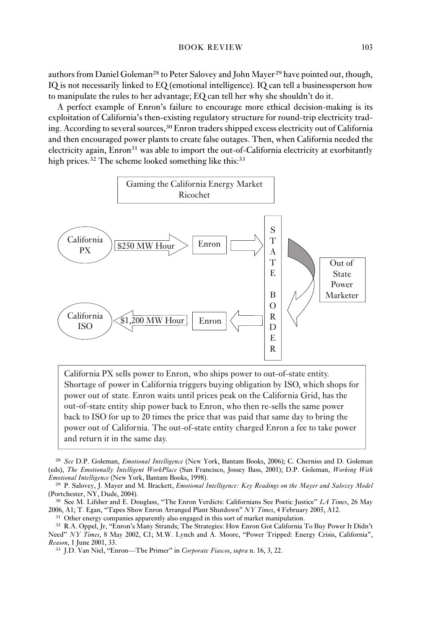authors from Daniel Goleman<sup>28</sup> to Peter Salovey and John Mayer<sup>29</sup> have pointed out, though, IQ is not necessarily linked to EQ (emotional intelligence). IQ can tell a businessperson how to manipulate the rules to her advantage; EQ can tell her why she shouldn't do it.

A perfect example of Enron's failure to encourage more ethical decision-making is its exploitation of California's then-existing regulatory structure for round-trip electricity trading. According to several sources,<sup>30</sup> Enron traders shipped excess electricity out of California and then encouraged power plants to create false outages. Then, when California needed the electricity again, Enron<sup>31</sup> was able to import the out-of-California electricity at exorbitantly high prices.<sup>32</sup> The scheme looked something like this:<sup>33</sup>



California PX sells power to Enron, who ships power to out-of-state entity. Shortage of power in California triggers buying obligation by ISO, which shops for power out of state. Enron waits until prices peak on the California Grid, has the out-of-state entity ship power back to Enron, who then re-sells the same power back to ISO for up to 20 times the price that was paid that same day to bring the power out of California. The out-of-state entity charged Enron a fee to take power and return it in the same day.

<sup>28</sup> *See* D.P. Goleman, *Emotional Intelligence* (New York, Bantam Books, 2006); C. Cherniss and D. Goleman (eds), *The Emotionally Intelligent WorkPlace* (San Francisco, Jossey Bass, 2001); D.P. Goleman, *Working With*

<sup>&</sup>lt;sup>29</sup> P. Salovey, J. Mayer and M. Brackett, *Emotional Intelligence: Key Readings on the Mayer and Salovey Model* (Portchester, NY, Dude, 2004). 30 See M. Lifsher and E. Douglass, "The Enron Verdicts: Californians See Poetic Justice" *LA Times*, 26 May

<sup>2006,</sup> A1; T. Egan, "Tapes Show Enron Arranged Plant Shutdown" *NY Times*, 4 February 2005, A12.

<sup>&</sup>lt;sup>31</sup> Other energy companies apparently also engaged in this sort of market manipulation.

<sup>32</sup> R.A. Oppel, Jr, "Enron's Many Strands; The Strategies: How Enron Got California To Buy Power It Didn't Need" *NY Times*, 8 May 2002, C1; M.W. Lynch and A. Moore, "Power Tripped: Energy Crisis, California", *Reason*, 1 June 2001, 33.

<sup>33</sup> J.D. Van Niel, "Enron—The Primer" in *Corporate Fiascos*, *supra* n. 16, 3, 22.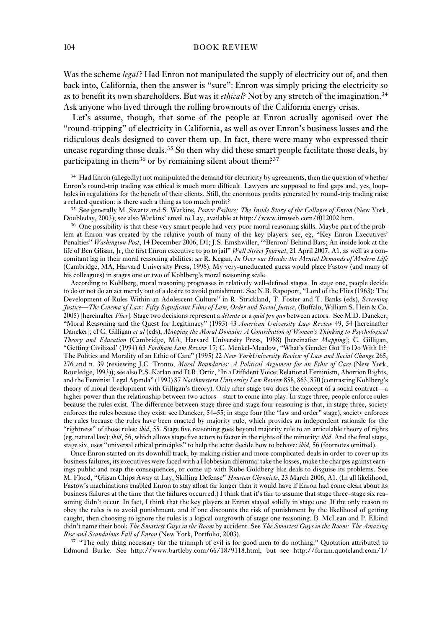Was the scheme *legal*? Had Enron not manipulated the supply of electricity out of, and then back into, California, then the answer is "sure": Enron was simply pricing the electricity so as to benefit its own shareholders. But was it *ethical*? Not by any stretch of the imagination.<sup>34</sup> Ask anyone who lived through the rolling brownouts of the California energy crisis.

Let's assume, though, that some of the people at Enron actually agonised over the "round-tripping" of electricity in California, as well as over Enron's business losses and the ridiculous deals designed to cover them up. In fact, there were many who expressed their unease regarding those deals.<sup>35</sup> So then why did these smart people facilitate those deals, by participating in them<sup>36</sup> or by remaining silent about them?<sup>37</sup>

<sup>34</sup> Had Enron (allegedly) not manipulated the demand for electricity by agreements, then the question of whether Enron's round-trip trading was ethical is much more difficult. Lawyers are supposed to find gaps and, yes, loopholes in regulations for the benefit of their clients. Still, the enormous profits generated by round-trip trading raise a related question: is there such a thing as too much profit?

<sup>35</sup> See generally M. Swartz and S. Watkins, *Power Failure: The Inside Story of the Collapse of Enron* (New York, Doubleday, 2003); see also Watkins' email to Lay, available at http://www.itmweb.com/f012002.htm.

<sup>36</sup> One possibility is that these very smart people had very poor moral reasoning skills. Maybe part of the problem at Enron was created by the relative youth of many of the key players: see, eg, "Key Enron Executives' Penalties" *Washington Post*, 14 December 2006, D1; J.S. Emshwiller, "'Benron' Behind Bars; An inside look at the life of Ben Glisan, Jr, the first Enron executive to go to jail" *Wall Street Journal*, 21 April 2007, A1, as well as a concomitant lag in their moral reasoning abilities: *see* R. Kegan, *In Over our Heads: the Mental Demands of Modern Life* (Cambridge, MA, Harvard University Press, 1998). My very-uneducated guess would place Fastow (and many of his colleagues) in stages one or two of Kohlberg's moral reasoning scale.

According to Kohlberg, moral reasoning progresses in relatively well-defined stages. In stage one, people decide to do or not do an act merely out of a desire to avoid punishment. See N.B. Rapoport, "Lord of the Flies (1963): The Development of Rules Within an Adolescent Culture" in R. Strickland, T. Foster and T. Banks (eds), *Screening Justice—The Cinema of Law: Fifty Significant Films of Law, Order and Social Justice*, (Buffalo, William S. Hein & Co, 2005) [hereinafter *Flies*]. Stage two decisions represent a *détente* or a *quid pro quo* between actors. See M.D. Daneker, "Moral Reasoning and the Quest for Legitimacy" (1993) 43 *American University Law Review* 49, 54 [hereinafter Daneker]; cf C. Gilligan *et al* (eds), *Mapping the Moral Domain: A Contribution of Women's Thinking to Psychological Theory and Education* (Cambridge, MA, Harvard University Press, 1988) [hereinafter *Mapping*]; C. Gilligan, "Getting Civilized' (1994) 63 *Fordham Law Review* 17; C. Menkel-Meadow, "What's Gender Got To Do With It?: The Politics and Morality of an Ethic of Care" (1995) 22 *New YorkUniversity Review of Law and Social Change* 265, 276 and n. 39 (reviewing J.C. Tronto, *Moral Boundaries: A Political Argument for an Ethic of Care* (New York, Routledge, 1993)); see also P.S. Karlan and D.R. Ortiz, "In a Diffident Voice: Relational Feminism, Abortion Rights, and the Feminist Legal Agenda" (1993) 87 *Northwestern University Law Review* 858, 863, 870 (contrasting Kohlberg's theory of moral development with Gilligan's theory). Only after stage two does the concept of a social contract—a higher power than the relationship between two actors—start to come into play. In stage three, people enforce rules because the rules exist. The difference between stage three and stage four reasoning is that, in stage three, society enforces the rules because they exist: see Daneker, 54–55; in stage four (the "law and order" stage), society enforces the rules because the rules have been enacted by majority rule, which provides an independent rationale for the "rightness" of those rules: *ibid*, 55. Stage five reasoning goes beyond majority rule to an articulable theory of rights (eg, natural law): *ibid*, 56, which allows stage five actors to factor in the rights of the minority: *ibid*. And the final stage, stage six, uses "universal ethical principles" to help the actor decide how to behave: *ibid,* 56 (footnotes omitted).

Once Enron started on its downhill track, by making riskier and more complicated deals in order to cover up its business failures, its executives were faced with a Hobbesian dilemma: take the losses, make the charges against earnings public and reap the consequences, or come up with Rube Goldberg-like deals to disguise its problems. See M. Flood, "Glisan Chips Away at Lay, Skilling Defense" *Houston Chronicle*, 23 March 2006, A1. (In all likelihood, Fastow's machinations enabled Enron to stay afloat far longer than it would have if Enron had come clean about its business failures at the time that the failures occurred.) I think that it's fair to assume that stage three–stage six reasoning didn't occur. In fact, I think that the key players at Enron stayed solidly in stage one. If the only reason to obey the rules is to avoid punishment, and if one discounts the risk of punishment by the likelihood of getting caught, then choosing to ignore the rules is a logical outgrowth of stage one reasoning. B. McLean and P. Elkind didn't name their book *The Smartest Guys in the Room* by accident. See *The Smartest Guys in the Room: The Amazing Rise and Scandalous Fall of Enron* (New York, Portfolio, 2003).

<sup>37</sup> "The only thing necessary for the triumph of evil is for good men to do nothing." Quotation attributed to Edmond Burke. See http://www.bartleby.com/66/18/9118.html, but see http://forum.quoteland.com/1/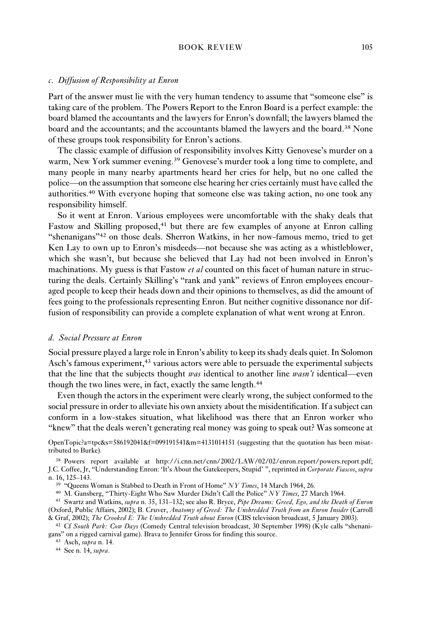#### *c. Diffusion of Responsibility at Enron*

Part of the answer must lie with the very human tendency to assume that "someone else" is taking care of the problem. The Powers Report to the Enron Board is a perfect example: the board blamed the accountants and the lawyers for Enron's downfall; the lawyers blamed the board and the accountants; and the accountants blamed the lawyers and the board.<sup>38</sup> None of these groups took responsibility for Enron's actions.

The classic example of diffusion of responsibility involves Kitty Genovese's murder on a warm, New York summer evening.<sup>39</sup> Genovese's murder took a long time to complete, and many people in many nearby apartments heard her cries for help, but no one called the police—on the assumption that someone else hearing her cries certainly must have called the authorities.40 With everyone hoping that someone else was taking action, no one took any responsibility himself.

So it went at Enron. Various employees were uncomfortable with the shaky deals that Fastow and Skilling proposed,<sup>41</sup> but there are few examples of anyone at Enron calling "shenanigans"42 on those deals. Sherron Watkins, in her now-famous memo, tried to get Ken Lay to own up to Enron's misdeeds—not because she was acting as a whistleblower, which she wasn't, but because she believed that Lay had not been involved in Enron's machinations. My guess is that Fastow *et al* counted on this facet of human nature in structuring the deals. Certainly Skilling's "rank and yank" reviews of Enron employees encouraged people to keep their heads down and their opinions to themselves, as did the amount of fees going to the professionals representing Enron. But neither cognitive dissonance nor diffusion of responsibility can provide a complete explanation of what went wrong at Enron.

#### *d. Social Pressure at Enron*

Social pressure played a large role in Enron's ability to keep its shady deals quiet. In Solomon Asch's famous experiment,<sup>43</sup> various actors were able to persuade the experimental subjects that the line that the subjects thought *was* identical to another line *wasn't* identical—even though the two lines were, in fact, exactly the same length.<sup>44</sup>

Even though the actors in the experiment were clearly wrong, the subject conformed to the social pressure in order to alleviate his own anxiety about the misidentification. If a subject can conform in a low-stakes situation, what likelihood was there that an Enron worker who "knew" that the deals weren't generating real money was going to speak out? Was someone at

OpenTopic?a=tpc&s=586192041&f=099191541&m=4131014151 (suggesting that the quotation has been misattributed to Burke).

<sup>38</sup> Powers report available at http://i.cnn.net/cnn/2002/LAW/02/02/enron.report/powers.report.pdf; J.C. Coffee, Jr, "Understanding Enron: 'It's About the Gatekeepers, Stupid' ", reprinted in *Corporate Fiascos*, *supra* n. 16, 125–143.

<sup>39</sup> "Queens Woman is Stabbed to Death in Front of Home" *NY Times*, 14 March 1964, 26.

<sup>40</sup> M. Gansberg, "Thirty-Eight Who Saw Murder Didn't Call the Police" *NY Times*, 27 March 1964.

<sup>41</sup> Swartz and Watkins, *supra* n. 35, 131–132; see also R. Bryce, *Pipe Dreams: Greed, Ego, and the Death of Enron* (Oxford, Public Affairs, 2002); B. Cruver, *Anatomy of Greed: The Unshredded Truth from an Enron Insider* (Carroll & Graf, 2002); *The Crooked E: The Unshredded Truth about Enron* (CBS television broadcast, 5 January 2003).

<sup>42</sup> Cf *South Park: Cow Days* (Comedy Central television broadcast, 30 September 1998) (Kyle calls "shenanigans" on a rigged carnival game). Brava to Jennifer Gross for finding this source.

<sup>43</sup> Asch, *supra* n. 14.

<sup>44</sup> See n. 14, *supra*.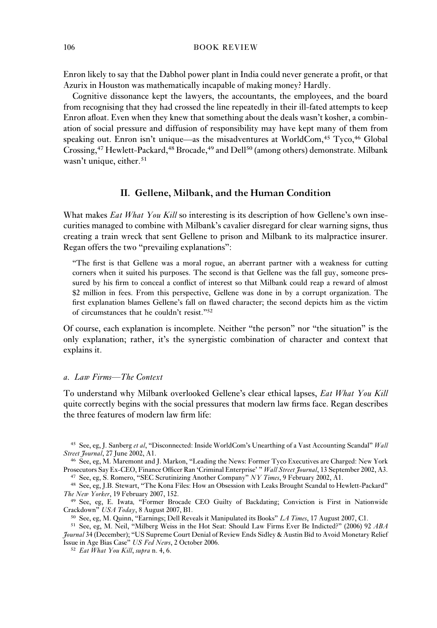Enron likely to say that the Dabhol power plant in India could never generate a profit, or that Azurix in Houston was mathematically incapable of making money? Hardly.

Cognitive dissonance kept the lawyers, the accountants, the employees, and the board from recognising that they had crossed the line repeatedly in their ill-fated attempts to keep Enron afloat. Even when they knew that something about the deals wasn't kosher, a combination of social pressure and diffusion of responsibility may have kept many of them from speaking out. Enron isn't unique—as the misadventures at WorldCom,<sup>45</sup> Tyco,<sup>46</sup> Global Crossing, <sup>47</sup> Hewlett-Packard, <sup>48</sup> Brocade, <sup>49</sup> and Dell<sup>50</sup> (among others) demonstrate. Milbank wasn't unique, either.<sup>51</sup>

#### **II. Gellene, Milbank, and the Human Condition**

What makes *Eat What You Kill* so interesting is its description of how Gellene's own insecurities managed to combine with Milbank's cavalier disregard for clear warning signs, thus creating a train wreck that sent Gellene to prison and Milbank to its malpractice insurer. Regan offers the two "prevailing explanations":

"The first is that Gellene was a moral rogue, an aberrant partner with a weakness for cutting corners when it suited his purposes. The second is that Gellene was the fall guy, someone pressured by his firm to conceal a conflict of interest so that Milbank could reap a reward of almost \$2 million in fees. From this perspective, Gellene was done in by a corrupt organization. The first explanation blames Gellene's fall on flawed character; the second depicts him as the victim of circumstances that he couldn't resist."<sup>52</sup>

Of course, each explanation is incomplete. Neither "the person" nor "the situation" is the only explanation; rather, it's the synergistic combination of character and context that explains it.

#### *a. Law Firms—The Context*

To understand why Milbank overlooked Gellene's clear ethical lapses, *Eat What You Kill* quite correctly begins with the social pressures that modern law firms face. Regan describes the three features of modern law firm life:

<sup>47</sup> See, eg, S. Romero, "SEC Scrutinizing Another Company" *NY Times*, 9 February 2002, A1.

<sup>45</sup> See, eg, J. Sanberg *et al*, "Disconnected: Inside WorldCom's Unearthing of a Vast Accounting Scandal" *Wall Street Journal*, 27 June 2002, A1.

<sup>46</sup> See, eg, M. Maremont and J. Markon, "Leading the News: Former Tyco Executives are Charged: New York Prosecutors Say Ex-CEO, Finance Officer Ran 'Criminal Enterprise' " *Wall Street Journal*, 13 September 2002, A3.

<sup>48</sup> See, eg, J.B. Stewart, "The Kona Files: How an Obsession with Leaks Brought Scandal to Hewlett-Packard" *The New Yorker*, 19 February 2007, 152.

<sup>49</sup> See, eg, E. Iwata*,* "Former Brocade CEO Guilty of Backdating; Conviction is First in Nationwide Crackdown" *USA Today*, 8 August 2007, B1.

<sup>50</sup> See, eg, M. Quinn, "Earnings; Dell Reveals it Manipulated its Books" *LA Times*, 17 August 2007, C1.

<sup>51</sup> See, eg, M. Neil, "Milberg Weiss in the Hot Seat: Should Law Firms Ever Be Indicted?" (2006) 92 *ABA Journal* 34 (December); "US Supreme Court Denial of Review Ends Sidley & Austin Bid to Avoid Monetary Relief Issue in Age Bias Case" *US Fed News*, 2 October 2006.

<sup>52</sup> *Eat What You Kill*, *supra* n. 4, 6.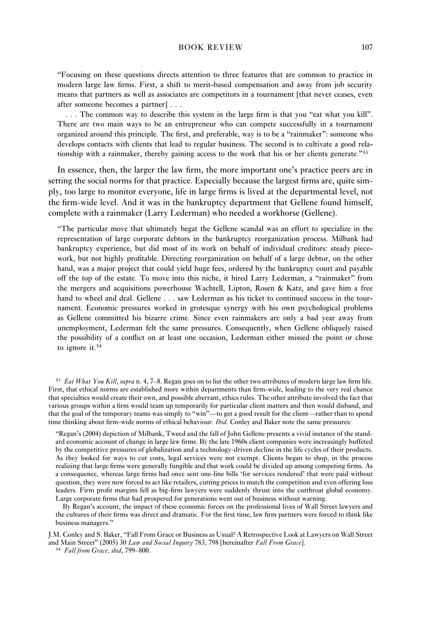"Focusing on these questions directs attention to three features that are common to practice in modern large law firms. First, a shift to merit-based compensation and away from job security means that partners as well as associates are competitors in a tournament [that never ceases, even after someone becomes a partner] . . .

. . . The common way to describe this system in the large firm is that you "eat what you kill". There are two main ways to be an entrepreneur who can compete successfully in a tournament organized around this principle. The first, and preferable, way is to be a "rainmaker": someone who develops contacts with clients that lead to regular business. The second is to cultivate a good relationship with a rainmaker, thereby gaining access to the work that his or her clients generate."<sup>53</sup>

In essence, then, the larger the law firm, the more important one's practice peers are in setting the social norms for that practice. Especially because the largest firms are, quite simply, too large to monitor everyone, life in large firms is lived at the departmental level, not the firm-wide level. And it was in the bankruptcy department that Gellene found himself, complete with a rainmaker (Larry Lederman) who needed a workhorse (Gellene).

"The particular move that ultimately begat the Gellene scandal was an effort to specialize in the representation of large corporate debtors in the bankruptcy reorganization process. Milbank had bankruptcy experience, but did most of its work on behalf of individual creditors: steady piecework, but not highly profitable. Directing reorganization on behalf of a large debtor, on the other hand, was a major project that could yield huge fees, ordered by the bankruptcy court and payable off the top of the estate. To move into this niche, it hired Larry Lederman, a "rainmaker" from the mergers and acquisitions powerhouse Wachtell, Lipton, Rosen & Katz, and gave him a free hand to wheel and deal. Gellene . . . saw Lederman as his ticket to continued success in the tournament. Economic pressures worked in grotesque synergy with his own psychological problems as Gellene committed his bizarre crime. Since even rainmakers are only a bad year away from unemployment, Lederman felt the same pressures. Consequently, when Gellene obliquely raised the possibility of a conflict on at least one occasion, Lederman either missed the point or chose to ignore it.<sup>54</sup>

<sup>53</sup> *Eat What You Kill*, *supra* n. 4, 7–8. Regan goes on to list the other two attributes of modern large law firm life. First, that ethical norms are established more within departments than firm-wide, leading to the very real chance that specialties would create their own, and possible aberrant, ethics rules. The other attribute involved the fact that various groups within a firm would team up temporarily for particular client matters and then would disband, and that the goal of the temporary teams was simply to "win"—to get a good result for the client—rather than to spend time thinking about firm-wide norms of ethical behaviour. *Ibid.* Conley and Baker note the same pressures:

"Regan's (2004) depiction of Milbank, Tweed and the fall of John Gellene presents a vivid instance of the standard economic account of change in large law firms. By the late 1960s client companies were increasingly buffeted by the competitive pressures of globalization and a technology-driven decline in the life cycles of their products. As they looked for ways to cut costs, legal services were not exempt. Clients began to shop, in the process realizing that large firms were generally fungible and that work could be divided up among competing firms. As a consequence, whereas large firms had once sent one-line bills 'for services rendered' that were paid without question, they were now forced to act like retailers, cutting prices to match the competition and even offering loss leaders. Firm profit margins fell as big-firm lawyers were suddenly thrust into the cutthroat global economy. Large corporate firms that had prospered for generations went out of business without warning.

By Regan's account, the impact of these economic forces on the professional lives of Wall Street lawyers and the cultures of their firms was direct and dramatic. For the first time, law firm partners were forced to think like business managers."

J.M. Conley and S. Baker, "Fall From Grace or Business as Usual? A Retrospective Look at Lawyers on Wall Street and Main Street" (2005) 30 *Law and Social Inquiry* 783, 798 [hereinafter *Fall From Grace*].

<sup>54</sup> *Fall from Grace, ibid*, 799–800.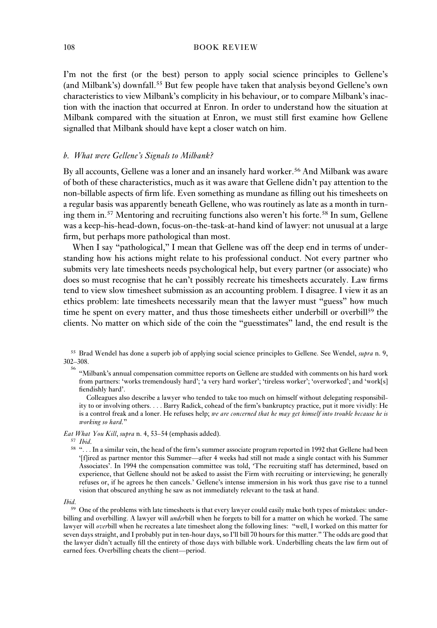I'm not the first (or the best) person to apply social science principles to Gellene's (and Milbank's) downfall.<sup>55</sup> But few people have taken that analysis beyond Gellene's own characteristics to view Milbank's complicity in his behaviour, or to compare Milbank's inaction with the inaction that occurred at Enron. In order to understand how the situation at Milbank compared with the situation at Enron, we must still first examine how Gellene signalled that Milbank should have kept a closer watch on him.

#### *b. What were Gellene's Signals to Milbank?*

By all accounts, Gellene was a loner and an insanely hard worker.<sup>56</sup> And Milbank was aware of both of these characteristics, much as it was aware that Gellene didn't pay attention to the non-billable aspects of firm life. Even something as mundane as filling out his timesheets on a regular basis was apparently beneath Gellene, who was routinely as late as a month in turning them in.<sup>57</sup> Mentoring and recruiting functions also weren't his forte.<sup>58</sup> In sum, Gellene was a keep-his-head-down, focus-on-the-task-at-hand kind of lawyer: not unusual at a large firm, but perhaps more pathological than most.

When I say "pathological," I mean that Gellene was off the deep end in terms of understanding how his actions might relate to his professional conduct. Not every partner who submits very late timesheets needs psychological help, but every partner (or associate) who does so must recognise that he can't possibly recreate his timesheets accurately. Law firms tend to view slow timesheet submission as an accounting problem. I disagree. I view it as an ethics problem: late timesheets necessarily mean that the lawyer must "guess" how much time he spent on every matter, and thus those timesheets either underbill or overbill<sup>59</sup> the clients. No matter on which side of the coin the "guesstimates" land, the end result is the

56 "Milbank's annual compensation committee reports on Gellene are studded with comments on his hard work from partners: 'works tremendously hard'; 'a very hard worker'; 'tireless worker'; 'overworked'; and 'work[s] fiendishly hard'.

Colleagues also describe a lawyer who tended to take too much on himself without delegating responsibility to or involving others. . . . Barry Radick, cohead of the firm's bankruptcy practice, put it more vividly: He is a control freak and a loner. He refuses help; *we are concerned that he may get himself into trouble because he is working so hard.*"

*Eat What You Kill*, *supra* n. 4, 53–54 (emphasis added).

<sup>57</sup> *Ibid.*

<sup>58</sup> ". . . In a similar vein, the head of the firm's summer associate program reported in 1992 that Gellene had been '[f]ired as partner mentor this Summer—after 4 weeks had still not made a single contact with his Summer Associates'. In 1994 the compensation committee was told, 'The recruiting staff has determined, based on experience, that Gellene should not be asked to assist the Firm with recruiting or interviewing; he generally refuses or, if he agrees he then cancels.' Gellene's intense immersion in his work thus gave rise to a tunnel vision that obscured anything he saw as not immediately relevant to the task at hand.

*Ibid.*

<sup>59</sup> One of the problems with late timesheets is that every lawyer could easily make both types of mistakes: underbilling and overbilling. A lawyer will *under*bill when he forgets to bill for a matter on which he worked. The same lawyer will *over*bill when he recreates a late timesheet along the following lines: "well, I worked on this matter for seven days straight, and I probably put in ten-hour days, so I'll bill 70 hours for this matter." The odds are good that the lawyer didn't actually fill the entirety of those days with billable work. Underbilling cheats the law firm out of earned fees. Overbilling cheats the client—period.

<sup>55</sup> Brad Wendel has done a superb job of applying social science principles to Gellene. See Wendel, *supra* n. 9, 302–308.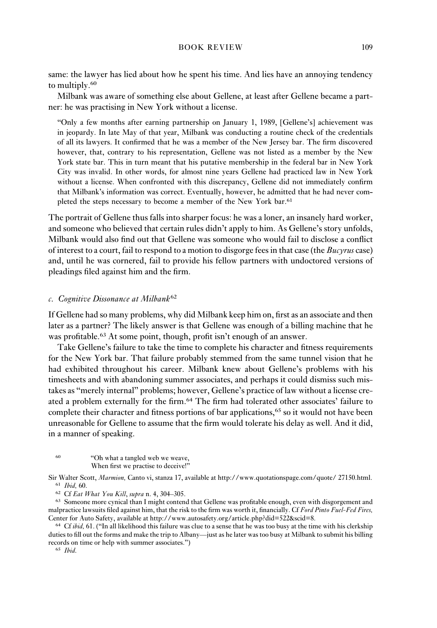same: the lawyer has lied about how he spent his time. And lies have an annoying tendency to multiply.<sup>60</sup>

Milbank was aware of something else about Gellene, at least after Gellene became a partner: he was practising in New York without a license.

"Only a few months after earning partnership on January 1, 1989, [Gellene's] achievement was in jeopardy. In late May of that year, Milbank was conducting a routine check of the credentials of all its lawyers. It confirmed that he was a member of the New Jersey bar. The firm discovered however, that, contrary to his representation, Gellene was not listed as a member by the New York state bar. This in turn meant that his putative membership in the federal bar in New York City was invalid. In other words, for almost nine years Gellene had practiced law in New York without a license. When confronted with this discrepancy, Gellene did not immediately confirm that Milbank's information was correct. Eventually, however, he admitted that he had never completed the steps necessary to become a member of the New York bar.<sup>61</sup>

The portrait of Gellene thus falls into sharper focus: he was a loner, an insanely hard worker, and someone who believed that certain rules didn't apply to him. As Gellene's story unfolds, Milbank would also find out that Gellene was someone who would fail to disclose a conflict of interest to a court, fail to respond to a motion to disgorge fees in that case (the *Bucyrus* case) and, until he was cornered, fail to provide his fellow partners with undoctored versions of pleadings filed against him and the firm.

#### *c. Cognitive Dissonance at Milbank*<sup>62</sup>

If Gellene had so many problems, why did Milbank keep him on, first as an associate and then later as a partner? The likely answer is that Gellene was enough of a billing machine that he was profitable.<sup>63</sup> At some point, though, profit isn't enough of an answer.

Take Gellene's failure to take the time to complete his character and fitness requirements for the New York bar. That failure probably stemmed from the same tunnel vision that he had exhibited throughout his career. Milbank knew about Gellene's problems with his timesheets and with abandoning summer associates, and perhaps it could dismiss such mistakes as "merely internal" problems; however, Gellene's practice of law without a license created a problem externally for the firm.<sup>64</sup> The firm had tolerated other associates' failure to complete their character and fitness portions of bar applications,<sup>65</sup> so it would not have been unreasonable for Gellene to assume that the firm would tolerate his delay as well. And it did, in a manner of speaking.

<sup>60</sup> "Oh what a tangled web we weave, When first we practise to deceive!"

Sir Walter Scott, *Marmion,* Canto vi, stanza 17, available at http://www.quotationspage.com/quote/ 27150.html. <sup>61</sup> *Ibid,* 60.

<sup>62</sup> Cf *Eat What You Kill*, *supra* n. 4, 304–305.

<sup>63</sup> Someone more cynical than I might contend that Gellene was profitable enough, even with disgorgement and malpractice lawsuits filed against him, that the risk to the firm was worth it, financially. Cf *Ford Pinto Fuel-Fed Fires,* Center for Auto Safety, available at http://www.autosafety.org/article.php?did=522&scid=8.

<sup>64</sup> Cf *ibid,* 61. ("In all likelihood this failure was clue to a sense that he was too busy at the time with his clerkship duties to fill out the forms and make the trip to Albany—just as he later was too busy at Milbank to submit his billing records on time or help with summer associates.")

<sup>65</sup> *Ibid.*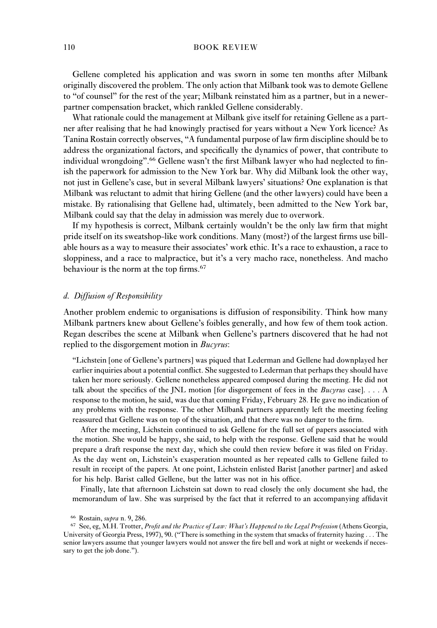Gellene completed his application and was sworn in some ten months after Milbank originally discovered the problem. The only action that Milbank took was to demote Gellene to "of counsel" for the rest of the year; Milbank reinstated him as a partner, but in a newerpartner compensation bracket, which rankled Gellene considerably.

What rationale could the management at Milbank give itself for retaining Gellene as a partner after realising that he had knowingly practised for years without a New York licence? As Tanina Rostain correctly observes, "A fundamental purpose of law firm discipline should be to address the organizational factors, and specifically the dynamics of power, that contribute to individual wrongdoing".<sup>66</sup> Gellene wasn't the first Milbank lawyer who had neglected to finish the paperwork for admission to the New York bar. Why did Milbank look the other way, not just in Gellene's case, but in several Milbank lawyers' situations? One explanation is that Milbank was reluctant to admit that hiring Gellene (and the other lawyers) could have been a mistake. By rationalising that Gellene had, ultimately, been admitted to the New York bar, Milbank could say that the delay in admission was merely due to overwork.

If my hypothesis is correct, Milbank certainly wouldn't be the only law firm that might pride itself on its sweatshop-like work conditions. Many (most?) of the largest firms use billable hours as a way to measure their associates' work ethic. It's a race to exhaustion, a race to sloppiness, and a race to malpractice, but it's a very macho race, nonetheless. And macho behaviour is the norm at the top firms.<sup>67</sup>

#### *d. Diffusion of Responsibility*

Another problem endemic to organisations is diffusion of responsibility. Think how many Milbank partners knew about Gellene's foibles generally, and how few of them took action. Regan describes the scene at Milbank when Gellene's partners discovered that he had not replied to the disgorgement motion in *Bucyrus*:

"Lichstein [one of Gellene's partners] was piqued that Lederman and Gellene had downplayed her earlier inquiries about a potential conflict. She suggested to Lederman that perhaps they should have taken her more seriously. Gellene nonetheless appeared composed during the meeting. He did not talk about the specifics of the JNL motion [for disgorgement of fees in the *Bucyrus* case]. . . . A response to the motion, he said, was due that coming Friday, February 28. He gave no indication of any problems with the response. The other Milbank partners apparently left the meeting feeling reassured that Gellene was on top of the situation, and that there was no danger to the firm.

After the meeting, Lichstein continued to ask Gellene for the full set of papers associated with the motion. She would be happy, she said, to help with the response. Gellene said that he would prepare a draft response the next day, which she could then review before it was filed on Friday. As the day went on, Lichstein's exasperation mounted as her repeated calls to Gellene failed to result in receipt of the papers. At one point, Lichstein enlisted Barist [another partner] and asked for his help. Barist called Gellene, but the latter was not in his office.

Finally, late that afternoon Lichstein sat down to read closely the only document she had, the memorandum of law. She was surprised by the fact that it referred to an accompanying affidavit

<sup>66</sup> Rostain, *supra* n. 9, 286.

<sup>67</sup> See, eg, M.H. Trotter, *Profit and the Practice of Law: What's Happened to the Legal Profession* (Athens Georgia, University of Georgia Press, 1997), 90**.** ("There is something in the system that smacks of fraternity hazing . . . The senior lawyers assume that younger lawyers would not answer the fire bell and work at night or weekends if necessary to get the job done.").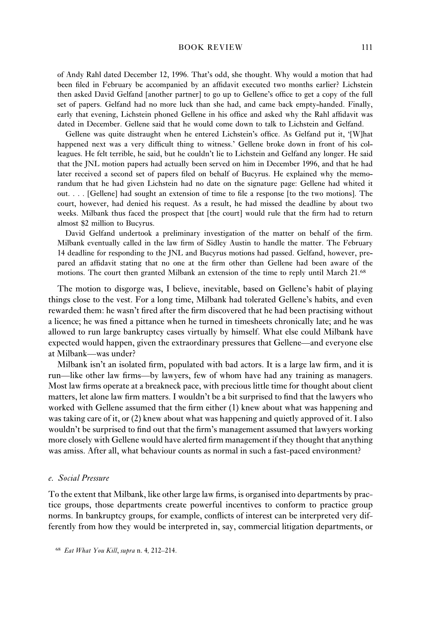of Andy Rahl dated December 12, 1996. That's odd, she thought. Why would a motion that had been filed in February be accompanied by an affidavit executed two months earlier? Lichstein then asked David Gelfand [another partner] to go up to Gellene's office to get a copy of the full set of papers. Gelfand had no more luck than she had, and came back empty-handed. Finally, early that evening, Lichstein phoned Gellene in his office and asked why the Rahl affidavit was dated in December. Gellene said that he would come down to talk to Lichstein and Gelfand.

Gellene was quite distraught when he entered Lichstein's office. As Gelfand put it, '[W]hat happened next was a very difficult thing to witness.' Gellene broke down in front of his colleagues. He felt terrible, he said, but he couldn't lie to Lichstein and Gelfand any longer. He said that the JNL motion papers had actually been served on him in December 1996, and that he had later received a second set of papers filed on behalf of Bucyrus. He explained why the memorandum that he had given Lichstein had no date on the signature page: Gellene had whited it out. . . . [Gellene] had sought an extension of time to file a response [to the two motions]. The court, however, had denied his request. As a result, he had missed the deadline by about two weeks. Milbank thus faced the prospect that [the court] would rule that the firm had to return almost \$2 million to Bucyrus.

David Gelfand undertook a preliminary investigation of the matter on behalf of the firm. Milbank eventually called in the law firm of Sidley Austin to handle the matter. The February 14 deadline for responding to the JNL and Bucyrus motions had passed. Gelfand, however, prepared an affidavit stating that no one at the firm other than Gellene had been aware of the motions. The court then granted Milbank an extension of the time to reply until March 21.<sup>68</sup>

The motion to disgorge was, I believe, inevitable, based on Gellene's habit of playing things close to the vest. For a long time, Milbank had tolerated Gellene's habits, and even rewarded them: he wasn't fired after the firm discovered that he had been practising without a licence; he was fined a pittance when he turned in timesheets chronically late; and he was allowed to run large bankruptcy cases virtually by himself. What else could Milbank have expected would happen, given the extraordinary pressures that Gellene—and everyone else at Milbank—was under?

Milbank isn't an isolated firm, populated with bad actors. It is a large law firm, and it is run—like other law firms—by lawyers, few of whom have had any training as managers. Most law firms operate at a breakneck pace, with precious little time for thought about client matters, let alone law firm matters. I wouldn't be a bit surprised to find that the lawyers who worked with Gellene assumed that the firm either (1) knew about what was happening and was taking care of it, or (2) knew about what was happening and quietly approved of it. I also wouldn't be surprised to find out that the firm's management assumed that lawyers working more closely with Gellene would have alerted firm management if they thought that anything was amiss. After all, what behaviour counts as normal in such a fast-paced environment?

#### *e. Social Pressure*

To the extent that Milbank, like other large law firms, is organised into departments by practice groups, those departments create powerful incentives to conform to practice group norms. In bankruptcy groups, for example, conflicts of interest can be interpreted very differently from how they would be interpreted in, say, commercial litigation departments, or

<sup>68</sup> *Eat What You Kill*, *supra* n. 4*,* 212–214.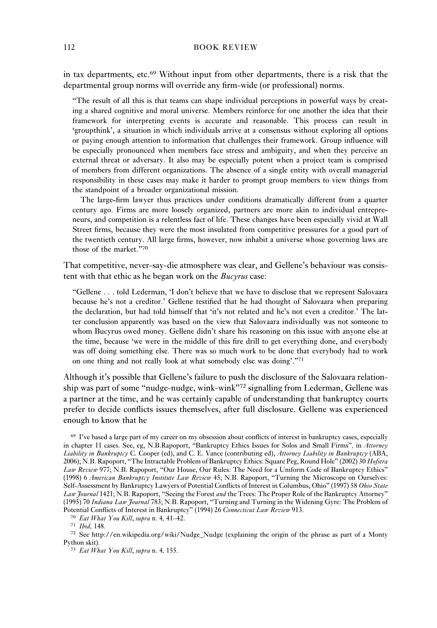in tax departments, etc.<sup>69</sup> Without input from other departments, there is a risk that the departmental group norms will override any firm-wide (or professional) norms.

"The result of all this is that teams can shape individual perceptions in powerful ways by creating a shared cognitive and moral universe. Members reinforce for one another the idea that their framework for interpreting events is accurate and reasonable. This process can result in 'groupthink', a situation in which individuals arrive at a consensus without exploring all options or paying enough attention to information that challenges their framework. Group influence will be especially pronounced when members face stress and ambiguity, and when they perceive an external threat or adversary. It also may be especially potent when a project team is comprised of members from different organizations. The absence of a single entity with overall managerial responsibility in these cases may make it harder to prompt group members to view things from the standpoint of a broader organizational mission.

The large-firm lawyer thus practices under conditions dramatically different from a quarter century ago. Firms are more loosely organized, partners are more akin to individual entrepreneurs, and competition is a relentless fact of life. These changes have been especially vivid at Wall Street firms, because they were the most insulated from competitive pressures for a good part of the twentieth century. All large firms, however, now inhabit a universe whose governing laws are those of the market."<sup>70</sup>

That competitive, never-say-die atmosphere was clear, and Gellene's behaviour was consistent with that ethic as he began work on the *Bucyrus* case:

"Gellene . . . told Lederman, 'I don't believe that we have to disclose that we represent Salovaara because he's not a creditor.' Gellene testified that he had thought of Salovaara when preparing the declaration, but had told himself that 'it's not related and he's not even a creditor.' The latter conclusion apparently was based on the view that Salovaara individually was not someone to whom Bucyrus owed money. Gellene didn't share his reasoning on this issue with anyone else at the time, because 'we were in the middle of this fire drill to get everything done, and everybody was off doing something else. There was so much work to be done that everybody had to work on one thing and not really look at what somebody else was doing'."71

Although it's possible that Gellene's failure to push the disclosure of the Salovaara relationship was part of some "nudge-nudge, wink-wink"<sup>72</sup> signalling from Lederman, Gellene was a partner at the time, and he was certainly capable of understanding that bankruptcy courts prefer to decide conflicts issues themselves, after full disclosure. Gellene was experienced enough to know that he

<sup>70</sup> *Eat What You Kill*, *supra* n. 4*,* 41–42.

<sup>71</sup> *Ibid,* 148.

<sup>72</sup> See http://en.wikipedia.org/wiki/Nudge\_Nudge (explaining the origin of the phrase as part of a Monty Python skit).

<sup>73</sup> *Eat What You Kill*, *supra* n. 4*,* 155.

<sup>&</sup>lt;sup>69</sup> I've based a large part of my career on my obsession about conflicts of interest in bankruptcy cases, especially in chapter 11 cases. See, eg, N.B.Rapoport, "Bankruptcy Ethics Issues for Solos and Small Firms"*,* in *Attorney Liability in Bankruptcy* C. Cooper (ed), and C. E. Vance (contributing ed), *Attorney Liability in Bankruptcy* (ABA, 2006); N.B. Rapoport, "The Intractable Problem of Bankruptcy Ethics: Square Peg, Round Hole" (2002) 30 *Hofstra Law Review* 977; N.B. Rapoport, "Our House, Our Rules: The Need for a Uniform Code of Bankruptcy Ethics" (1998) 6 *American Bankruptcy Institute Law Review* 45; N.B. Rapoport, "Turning the Microscope on Ourselves: Self-Assessment by Bankruptcy Lawyers of Potential Conflicts of Interest in Columbus, Ohio" (1997) 58 *Ohio State Law Journal* 1421; N.B. Rapoport, "Seeing the Forest *and* the Trees: The Proper Role of the Bankruptcy Attorney" (1995) 70 *Indiana Law Journal* 783; N.B. Rapoport, "Turning and Turning in the Widening Gyre: The Problem of Potential Conflicts of Interest in Bankruptcy" (1994) 26 *Connecticut Law Review* 913.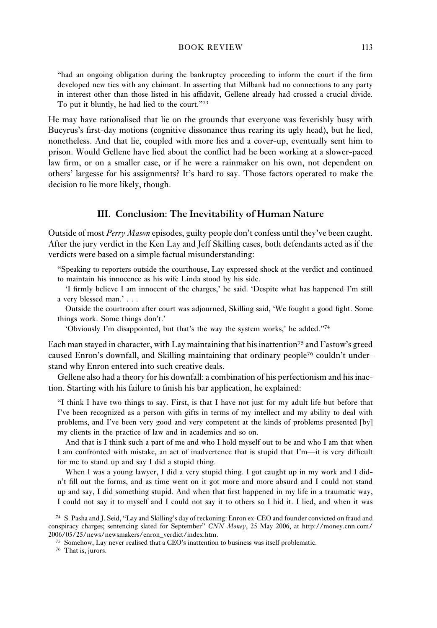"had an ongoing obligation during the bankruptcy proceeding to inform the court if the firm developed new ties with any claimant. In asserting that Milbank had no connections to any party in interest other than those listed in his affidavit, Gellene already had crossed a crucial divide. To put it bluntly, he had lied to the court."73

He may have rationalised that lie on the grounds that everyone was feverishly busy with Bucyrus's first-day motions (cognitive dissonance thus rearing its ugly head), but he lied, nonetheless. And that lie, coupled with more lies and a cover-up, eventually sent him to prison. Would Gellene have lied about the conflict had he been working at a slower-paced law firm, or on a smaller case, or if he were a rainmaker on his own, not dependent on others' largesse for his assignments? It's hard to say. Those factors operated to make the decision to lie more likely, though.

#### **III. Conclusion: The Inevitability of Human Nature**

Outside of most *Perry Mason* episodes, guilty people don't confess until they've been caught. After the jury verdict in the Ken Lay and Jeff Skilling cases, both defendants acted as if the verdicts were based on a simple factual misunderstanding:

"Speaking to reporters outside the courthouse, Lay expressed shock at the verdict and continued to maintain his innocence as his wife Linda stood by his side.

'I firmly believe I am innocent of the charges,' he said. 'Despite what has happened I'm still a very blessed man.' . . .

Outside the courtroom after court was adjourned, Skilling said, 'We fought a good fight. Some things work. Some things don't.'

'Obviously I'm disappointed, but that's the way the system works,' he added."74

Each man stayed in character, with Lay maintaining that his inattention<sup>75</sup> and Fastow's greed caused Enron's downfall, and Skilling maintaining that ordinary people<sup>76</sup> couldn't understand why Enron entered into such creative deals.

Gellene also had a theory for his downfall: a combination of his perfectionism and his inaction. Starting with his failure to finish his bar application, he explained:

"I think I have two things to say. First, is that I have not just for my adult life but before that I've been recognized as a person with gifts in terms of my intellect and my ability to deal with problems, and I've been very good and very competent at the kinds of problems presented [by] my clients in the practice of law and in academics and so on.

And that is I think such a part of me and who I hold myself out to be and who I am that when I am confronted with mistake, an act of inadvertence that is stupid that I'm—it is very difficult for me to stand up and say I did a stupid thing.

When I was a young lawyer, I did a very stupid thing. I got caught up in my work and I didn't fill out the forms, and as time went on it got more and more absurd and I could not stand up and say, I did something stupid. And when that first happened in my life in a traumatic way, I could not say it to myself and I could not say it to others so I hid it. I lied, and when it was

<sup>76</sup> That is, jurors.

<sup>74</sup> S. Pasha and J. Seid, "Lay and Skilling's day of reckoning: Enron ex-CEO and founder convicted on fraud and conspiracy charges; sentencing slated for September" *CNN Money*, 25 May 2006, at http://money.cnn.com/ 2006/05/25/news/newsmakers/enron\_verdict/index.htm.

<sup>75</sup> Somehow, Lay never realised that a CEO's inattention to business was itself problematic.